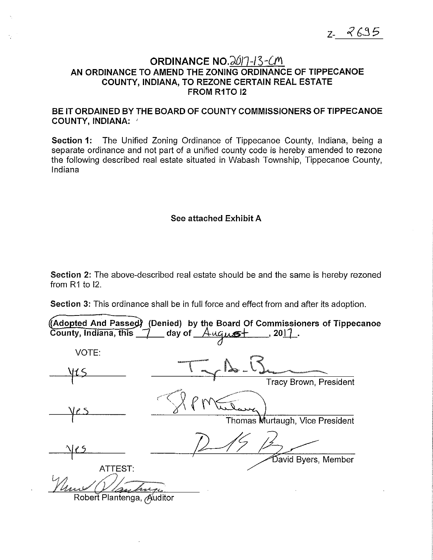# ORDINANCE NO.  $20/7$ - $13$ - $\ell$ M AN ORDINANCE TO AMEND THE ZONING ORDINANCE OF TIPPECANOE COUNTY, INDIANA, TO REZONE CERTAIN REAL ESTATE FROM R1TO 12

# BE IT ORDAINED BY THE BOARD OF COUNTY COMMISSIONERS OF TIPPECANOE COUNTY, INDIANA: '

Section 1: The Unified Zoning Ordinance of Tippecanoe County, Indiana, being a separate ordinance and not part of a unified county code is hereby amended to rezone the following described real estate situated in Wabash Township, Tippecanoe County, Indiana

# See attached Exhibit A

Section 2: The above-described real estate should be and the same is hereby rezoned from R1 to 12.

Section 3: This ordinance shall be in full force and effect from and after its adoption.

|                           | (Adopted And Passed) (Denied) by the Board Of Commissioners of Tippecanoe       |
|---------------------------|---------------------------------------------------------------------------------|
| County, Indiana, this 7   | $\rule{1em}{0.15mm}$ day of $\rule{1em}{0.15mm}$ August<br>$\_$ , 20 <u>17.</u> |
| VOTE:                     |                                                                                 |
| ILS                       |                                                                                 |
|                           | Tracy Brown, President                                                          |
| Ve s                      |                                                                                 |
|                           | Thomas Murtaugh, Vice President                                                 |
|                           |                                                                                 |
|                           | David Byers, Member                                                             |
| ATTEST:                   |                                                                                 |
|                           |                                                                                 |
| Robert Plantenga, Auditor |                                                                                 |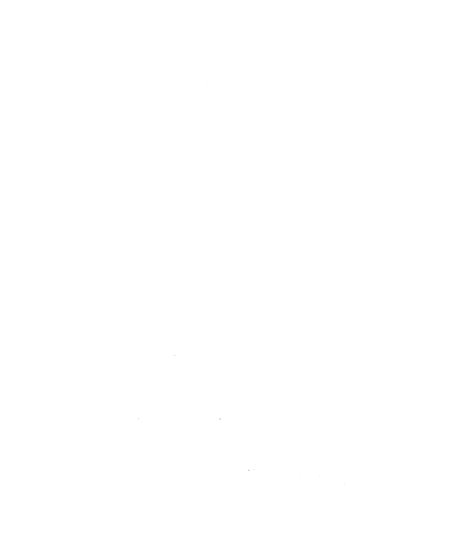$\label{eq:2.1} \frac{1}{\sqrt{2}}\int_{\mathbb{R}^3}\frac{1}{\sqrt{2}}\left(\frac{1}{\sqrt{2}}\right)^2\frac{1}{\sqrt{2}}\left(\frac{1}{\sqrt{2}}\right)^2\frac{1}{\sqrt{2}}\left(\frac{1}{\sqrt{2}}\right)^2\frac{1}{\sqrt{2}}\left(\frac{1}{\sqrt{2}}\right)^2\frac{1}{\sqrt{2}}\left(\frac{1}{\sqrt{2}}\right)^2\frac{1}{\sqrt{2}}\frac{1}{\sqrt{2}}\frac{1}{\sqrt{2}}\frac{1}{\sqrt{2}}\frac{1}{\sqrt{2}}\frac{1}{\sqrt{2}}$ 

 $\label{eq:2.1} \frac{1}{\sqrt{2\pi}}\int_{\mathbb{R}^3}\frac{1}{\sqrt{2\pi}}\left(\frac{1}{\sqrt{2\pi}}\int_{\mathbb{R}^3}\frac{1}{\sqrt{2\pi}}\left(\frac{1}{\sqrt{2\pi}}\int_{\mathbb{R}^3}\frac{1}{\sqrt{2\pi}}\right)\frac{1}{\sqrt{2\pi}}\right)=\frac{1}{2\sqrt{2\pi}}\int_{\mathbb{R}^3}\frac{1}{\sqrt{2\pi}}\frac{1}{\sqrt{2\pi}}\int_{\mathbb{R}^3}\frac{1}{\sqrt{2\pi}}\frac{1}{\sqrt{2\pi}}\frac$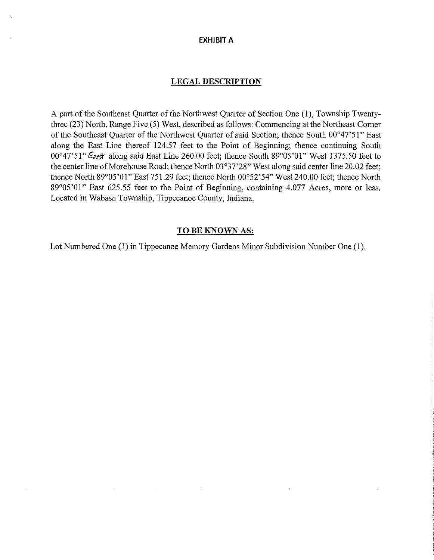### **EXHIBIT A**

### **LEGAL DESCRIPTION**

A part of the Southeast Quarter of the Northwest Quarter of Section One (1), Township Twentythree (23) North, Range Five (5) West, described as follows: Commencing at the Northeast Comer of the Southeast Quarter of the Northwest Quarter of said Section; thence South 00°47'51" East along the East Line thereof 124.57 feet to the Point of Beginning; thence continuing South  $00^{\circ}47'51''$  East along said East Line 260.00 feet; thence South 89°05'01" West 1375.50 feet to the center line of Morehouse Road; thence North 03°37'28" West along said center line 20.02 feet; thence North 89°05'01" East 751.29 feet; thence North 00°52'54" West 240.00 feet; thence North 89°05'01" East 625.55 feet to the Point of Beginning, containing 4.077 Acres, more or less. Located in Wabash Township, Tippecanoe County, Indiana.

### **TO BE KNOWN** AS:

Lot Numbered One (1) in Tippecanoe Memory Gardens Minor Subdivision Number One (1 ).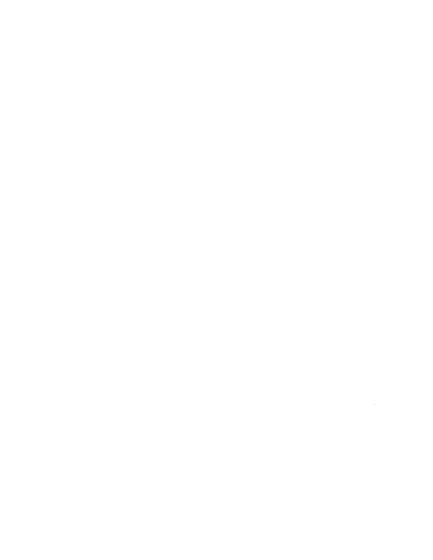$\mathcal{L}^{\text{max}}_{\text{max}}$  and  $\mathcal{L}^{\text{max}}_{\text{max}}$ 

 $\label{eq:2.1} \frac{1}{\sqrt{2}}\int_{\mathbb{R}^3}\frac{1}{\sqrt{2}}\left(\frac{1}{\sqrt{2}}\right)^2\frac{1}{\sqrt{2}}\left(\frac{1}{\sqrt{2}}\right)^2\frac{1}{\sqrt{2}}\left(\frac{1}{\sqrt{2}}\right)^2\frac{1}{\sqrt{2}}\left(\frac{1}{\sqrt{2}}\right)^2.$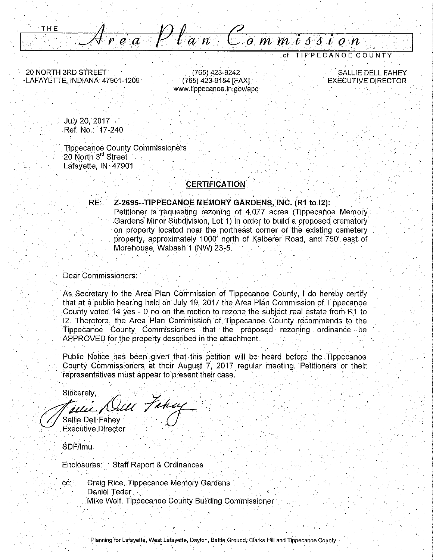THE

*rran:· Com* .. . **mtJJtQn** 

of TIPPECANOE COUNTY

20 NORTH 3RD STREEr . (765) 423-9242 SALLIE DELL FAHEY LAFAYETTE, INDIANA 47901-1209 (765) 423-9154 FAXI EXECUTIVE DIRECTOR

(765) 423-9154 [FAX] www.tippecanoe:in:gov/apc

July 20, 2017 Ref. No.: 17-240

Tippecanoe County Commissioners 20 North 3<sup>rd</sup> Street Lafavette, IN 47901

. . .

#### **CERTIFICATION**  - . - - .-. .

RE: **Z-2695--TIPPECANOE MEMORY GARDENS, INC. (R1 to 12):**  Petitioner is requesting rezoning of 4.077 acres (Tippecanoe Memory Gardens Minor Subdivision, Lot 1) in order to build a proposed crematory on property located near the northeast corner of the existing cemetery . property, approximately 1000; north of Kalberer Road, and 750' east of Morehouse, Wabash 1 (NW) 23-5.

Dear Commissioners:

As. Secretary to the Area Plan Commission of Tippecanoe County, I do hereby certify that at a public hearing held on July 19, 2017 the Area Plan Commission of Tippecanoe County voted 14 yes - 0 no on the motion to rezone the subject real estate from R1 to 12. Therefore, the Area Plan Commission of Tippecanoe County recommends to the Tippecanoe County Commissioners that the proposed rezoning ordinance be APPROVED for the property described in the attachment.

Public Notice has been given that this petition will be heard before the Tippecanoe . County Commissioners at their August 7, 2017 regular meeting. Petitioners or their representatives must appear to present their case.

 $\overbrace{ }^{Sincerely,}$ // sallie Dell Fahey<br>// Sallie Dell Fahey Februe ·.·.·.~· *.. u-.* -

**Executive Director** 

SDF/lmu

Enclosures: Staff Report & Ordinances

cc: Craig Rice, Tippecanoe Memory Gardens Daniel Teder Mike Wolf, Tippecanoe County Building Commissioner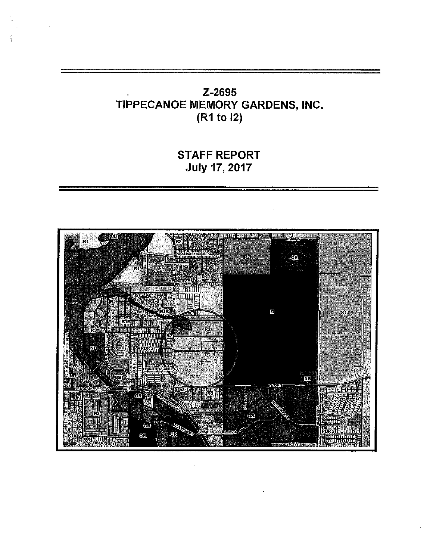# Z-2695 TIPPECANOE MEMORY GARDENS, INC. (R1 to 12)

 $\mathcal{L}_{\mathcal{A}}$ 

 $\langle$ 

# STAFF REPORT July 17, 2017

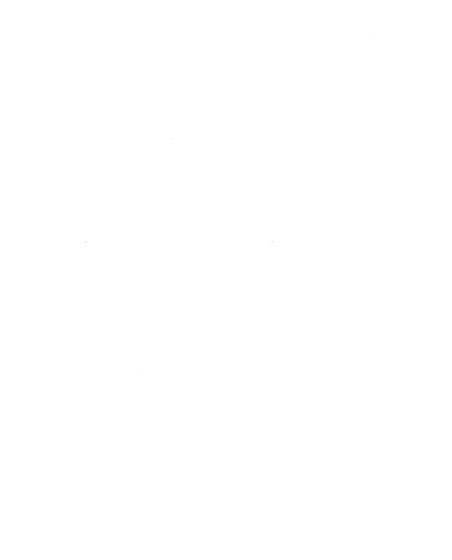$\label{eq:2} \frac{1}{\sqrt{2}}\left(\frac{1}{\sqrt{2}}\right)^{2} \left(\frac{1}{\sqrt{2}}\right)^{2}$  $\label{eq:2.1} \mathcal{L}(\mathcal{L}^{\text{max}}_{\mathcal{L}}(\mathcal{L}^{\text{max}}_{\mathcal{L}}(\mathcal{L}^{\text{max}}_{\mathcal{L}}(\mathcal{L}^{\text{max}}_{\mathcal{L}^{\text{max}}_{\mathcal{L}}(\mathcal{L}^{\text{max}}_{\mathcal{L}^{\text{max}}_{\mathcal{L}^{\text{max}}_{\mathcal{L}^{\text{max}}_{\mathcal{L}^{\text{max}}_{\mathcal{L}^{\text{max}}_{\mathcal{L}^{\text{max}}_{\mathcal{L}^{\text{max}}_{\mathcal{L}^{\text{max}}$ 

 $\label{eq:2.1} \frac{1}{\sqrt{2}}\int_{\mathbb{R}^3} \frac{1}{\sqrt{2}}\left(\frac{1}{\sqrt{2}}\right)^2\left(\frac{1}{\sqrt{2}}\right)^2\left(\frac{1}{\sqrt{2}}\right)^2\left(\frac{1}{\sqrt{2}}\right)^2\left(\frac{1}{\sqrt{2}}\right)^2\left(\frac{1}{\sqrt{2}}\right)^2.$  $\label{eq:2.1} \frac{1}{2} \sum_{i=1}^n \frac{1}{2} \sum_{j=1}^n \frac{1}{2} \sum_{j=1}^n \frac{1}{2} \sum_{j=1}^n \frac{1}{2} \sum_{j=1}^n \frac{1}{2} \sum_{j=1}^n \frac{1}{2} \sum_{j=1}^n \frac{1}{2} \sum_{j=1}^n \frac{1}{2} \sum_{j=1}^n \frac{1}{2} \sum_{j=1}^n \frac{1}{2} \sum_{j=1}^n \frac{1}{2} \sum_{j=1}^n \frac{1}{2} \sum_{j=1}^n \frac{$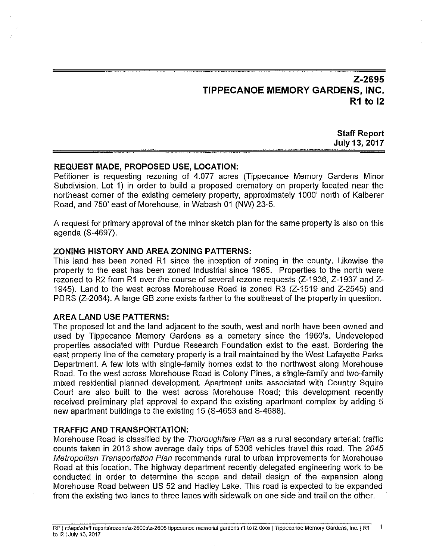# **Z-2695 TIPPECANOE MEMORY GARDENS, INC. R1to12**

# **Staff Report July 13, 2017**

# **REQUEST MADE, PROPOSED USE, LOCATION:**

Petitioner is requesting rezoning of 4.077 acres (Tippecanoe Memory Gardens Minor Subdivision, Lot 1) in order to build a proposed crematory on property located near the northeast corner of the existing cemetery property, approximately 1000' north of Kalberer Road, and 750' east of Morehouse, in Wabash 01 (NW) 23-5.

A request for primary approval of the minor sketch plan for the same property is also on this agenda (S-4697).

## **ZONING HISTORY AND AREA ZONING PATTERNS:**

This land has been zoned R1 since the inception of zoning in the county. Likewise the property to the east has been zoned Industrial since 1965. Properties to the north were rezoned to R2 from R1 over the course of several rezone requests (Z-1936, Z-1937 and Z-1945). Land to the west across Morehouse Road is zoned R3 (Z-1519 and Z-2545) and PDRS (Z-2064). A large GB zone exists farther to the southeast of the property in question.

## **AREA LAND USE PATTERNS:**

The proposed lot and the land adjacent to the south, west and north have been owned and used by Tippecanoe Memory Gardens as a cemetery since the 1960's. Undeveloped properties associated with Purdue Research Foundation exist to the east. Bordering the east property line of the cemetery property is a trail maintained by the West Lafayette Parks Department. A few lots with single-family homes exist to the northwest along Morehouse Road. To the west across Morehouse Road is Colony Pines, a single-family and two-family mixed residential planned development. Apartment units associated with Country Squire Court are also built to the west across Morehouse Road; this development recently received preliminary plat approval to expand the existing apartment complex by adding 5 new apartment buildings to the existing 15 (S-4653 and S-4688).

### **TRAFFIC AND TRANSPORTATION:**

Morehouse Road is classified by the *Thoroughfare Plan* as a rural secondary arterial: traffic counts taken in 2013 show average daily trips of 5306 vehicles travel this road. The *2045*  Metropolitan Transportation Plan recommends rural to urban improvements for Morehouse Road at this location. The highway department recently delegated engineering work to be conducted in order to determine the scope and detail design of the expansion along Morehouse Road between US 52 and Hadley Lake. This road is expected to be expanded from the existing two lanes to three lanes with sidewalk on one side and trail on the other.